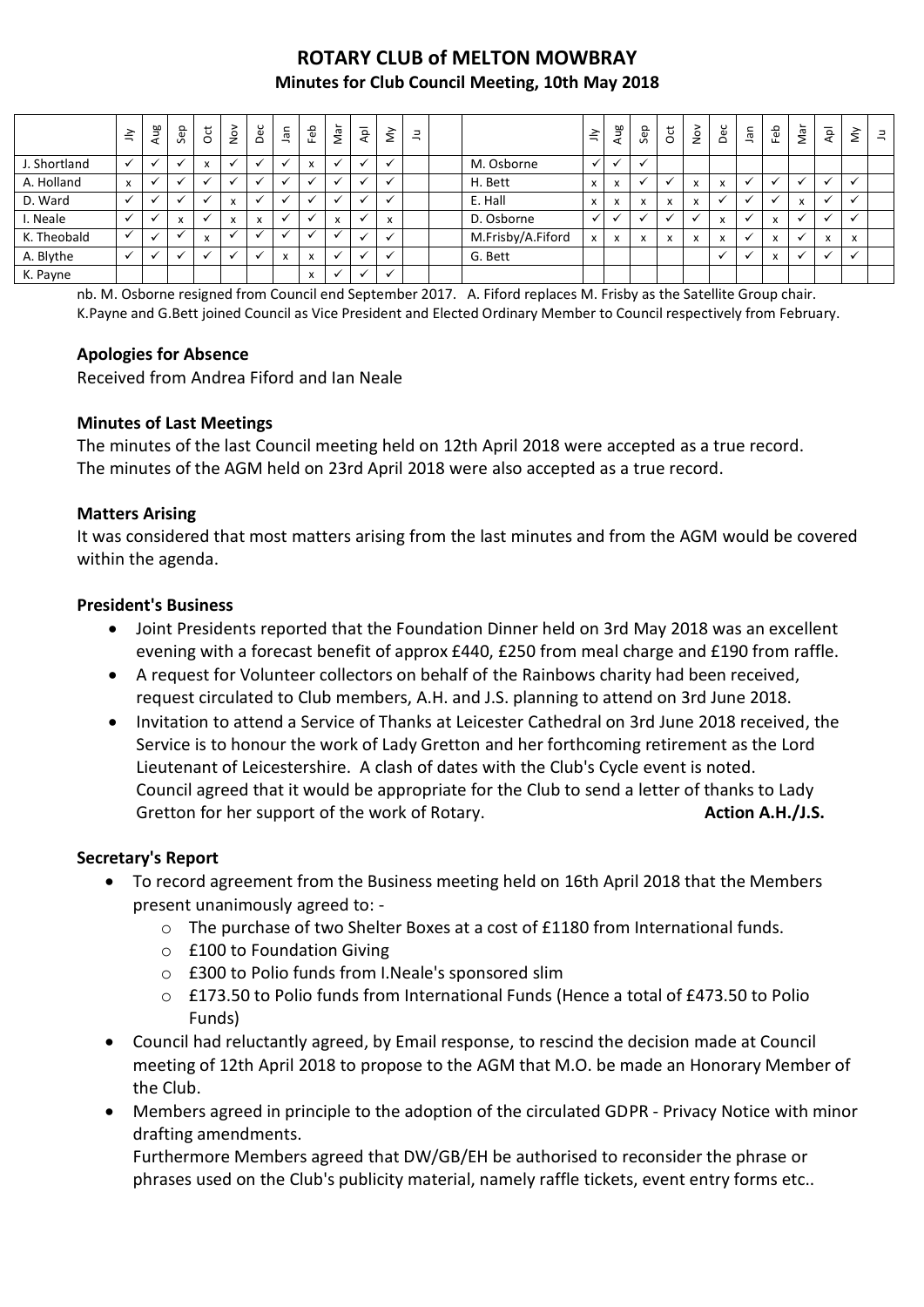# **ROTARY CLUB of MELTON MOWBRAY Minutes for Club Council Meeting, 10th May 2018**

|              | $\leq$                    | Aug | Sep                                      | $\overline{\mathrm{c}}$               | $\sum_{i=1}^{\infty}$    | Dec | nel.                           | Feb                       | Nar                 | ٩pl | š                                        | Ξ |                   | $\preceq$    | Aug | Sep               | ğ                         | $\sum_{i=1}^{\infty}$        | Dec                          | lan | Ъe<br>ட                        | Nar            | $\bar{\mathsf{A}}$           | $\check{\simeq}$ | $\exists$ |
|--------------|---------------------------|-----|------------------------------------------|---------------------------------------|--------------------------|-----|--------------------------------|---------------------------|---------------------|-----|------------------------------------------|---|-------------------|--------------|-----|-------------------|---------------------------|------------------------------|------------------------------|-----|--------------------------------|----------------|------------------------------|------------------|-----------|
| J. Shortland |                           |     |                                          | $\overline{\phantom{a}}$              |                          |     |                                | $\mathbf{v}$<br>$\lambda$ |                     |     | <b>M</b>                                 |   | M. Osborne        | $\checkmark$ |     |                   |                           |                              |                              |     |                                |                |                              |                  |           |
| A. Holland   | $\boldsymbol{\mathsf{x}}$ |     |                                          |                                       |                          |     |                                |                           |                     |     |                                          |   | H. Bett           | $\mathsf{x}$ | X   |                   |                           | $\overline{ }$<br>$\lambda$  | $\mathsf{x}$                 |     |                                |                | ✓                            | $\mathbf{v}$     |           |
| D. Ward      |                           |     |                                          |                                       | $\overline{\phantom{a}}$ |     |                                |                           | $\cdot$             |     |                                          |   | E. Hall           | x            | x   | $\mathbf{v}$<br>v | $\mathbf{v}$<br>$\lambda$ | $\mathbf{v}$<br>$\lambda$    |                              |     |                                | $\overline{ }$ | $\checkmark$                 | $\checkmark$     |           |
| I. Neale     |                           |     | $\overline{ }$<br>$\boldsymbol{\lambda}$ |                                       | $\overline{\mathbf{r}}$  | X   |                                |                           | $\overline{ }$<br>x |     | $\overline{\phantom{a}}$<br>$\mathbf{A}$ |   | D. Osborne        | $\checkmark$ |     |                   |                           |                              | $\mathbf{v}$<br>$\mathbf{v}$ |     | $\lambda$<br>$\lambda$         |                |                              |                  |           |
| K. Theobald  |                           |     |                                          | $\overline{\phantom{a}}$<br>$\lambda$ |                          |     |                                |                           |                     |     |                                          |   | M.Frisby/A.Fiford | $\mathsf{x}$ | X   | X                 | $\mathbf{v}$<br>$\lambda$ | $\mathbf{v}$<br>$\mathbf{A}$ | x                            |     | $\mathbf{v}$<br>$\mathbf{v}$   |                | $\mathbf{v}$<br>$\mathbf{x}$ | X                |           |
| A. Blythe    |                           |     |                                          |                                       |                          |     | $\overline{ }$<br>$\mathbf{v}$ | $\mathbf{v}$<br>л         |                     |     | $\ddot{\phantom{0}}$                     |   | G. Bett           |              |     |                   |                           |                              |                              |     | $\overline{ }$<br>$\mathbf{v}$ |                | v                            | $\mathbf{v}$     |           |
| K. Payne     |                           |     |                                          |                                       |                          |     |                                | $\mathbf{v}$<br>$\lambda$ | $\cdot$             |     |                                          |   |                   |              |     |                   |                           |                              |                              |     |                                |                |                              |                  |           |

nb. M. Osborne resigned from Council end September 2017. A. Fiford replaces M. Frisby as the Satellite Group chair. K.Payne and G.Bett joined Council as Vice President and Elected Ordinary Member to Council respectively from February.

## **Apologies for Absence**

Received from Andrea Fiford and Ian Neale

## **Minutes of Last Meetings**

The minutes of the last Council meeting held on 12th April 2018 were accepted as a true record. The minutes of the AGM held on 23rd April 2018 were also accepted as a true record.

#### **Matters Arising**

It was considered that most matters arising from the last minutes and from the AGM would be covered within the agenda.

## **President's Business**

- Joint Presidents reported that the Foundation Dinner held on 3rd May 2018 was an excellent evening with a forecast benefit of approx £440, £250 from meal charge and £190 from raffle.
- A request for Volunteer collectors on behalf of the Rainbows charity had been received, request circulated to Club members, A.H. and J.S. planning to attend on 3rd June 2018.
- Invitation to attend a Service of Thanks at Leicester Cathedral on 3rd June 2018 received, the Service is to honour the work of Lady Gretton and her forthcoming retirement as the Lord Lieutenant of Leicestershire. A clash of dates with the Club's Cycle event is noted. Council agreed that it would be appropriate for the Club to send a letter of thanks to Lady Gretton for her support of the work of Rotary. **Action A.H./J.S. Action A.H./J.S.**

#### **Secretary's Report**

- To record agreement from the Business meeting held on 16th April 2018 that the Members present unanimously agreed to:
	- o The purchase of two Shelter Boxes at a cost of £1180 from International funds.
	- o £100 to Foundation Giving
	- o £300 to Polio funds from I.Neale's sponsored slim
	- o £173.50 to Polio funds from International Funds (Hence a total of £473.50 to Polio Funds)
- Council had reluctantly agreed, by Email response, to rescind the decision made at Council meeting of 12th April 2018 to propose to the AGM that M.O. be made an Honorary Member of the Club.
- Members agreed in principle to the adoption of the circulated GDPR Privacy Notice with minor drafting amendments.

Furthermore Members agreed that DW/GB/EH be authorised to reconsider the phrase or phrases used on the Club's publicity material, namely raffle tickets, event entry forms etc..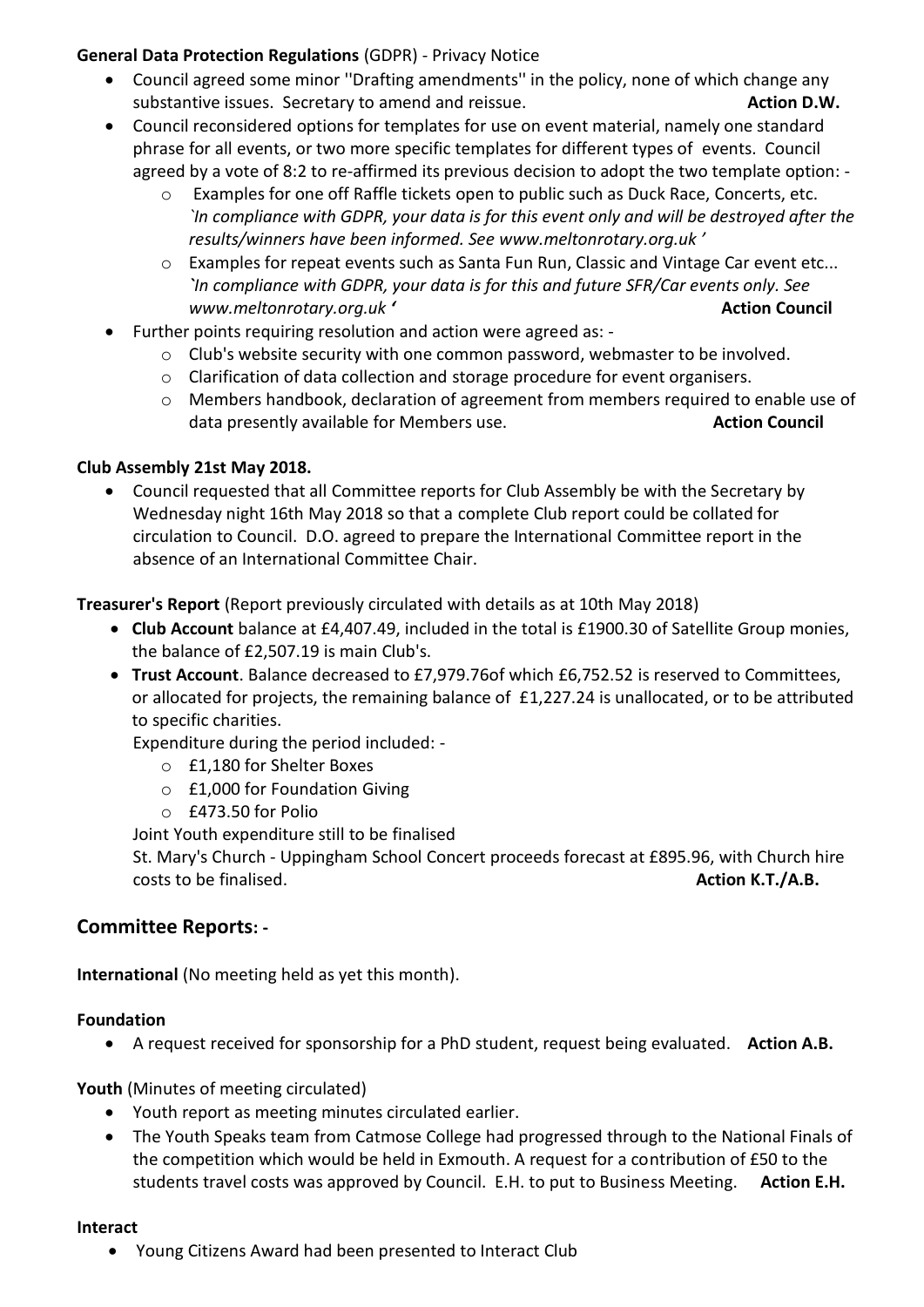# **General Data Protection Regulations** (GDPR) - Privacy Notice

- Council agreed some minor ''Drafting amendments'' in the policy, none of which change any substantive issues. Secretary to amend and reissue. **Action D.W.** Action D.W.
- Council reconsidered options for templates for use on event material, namely one standard phrase for all events, or two more specific templates for different types of events. Council agreed by a vote of 8:2 to re-affirmed its previous decision to adopt the two template option:
	- o Examples for one off Raffle tickets open to public such as Duck Race, Concerts, etc. *`In compliance with GDPR, your data is for this event only and will be destroyed after the results/winners have been informed. See [www.meltonrotary.org.uk](http://www.meltonrotary.org.uk/) '*
	- o Examples for repeat events such as Santa Fun Run, Classic and Vintage Car event etc... *`In compliance with GDPR, your data is for this and future SFR/Car events only. See www.meltonrotary.org.uk '* **Action Council**
- Further points requiring resolution and action were agreed as:
	- o Club's website security with one common password, webmaster to be involved.
	- o Clarification of data collection and storage procedure for event organisers.
	- o Members handbook, declaration of agreement from members required to enable use of data presently available for Members use. **Action Council** and the set of the Members use.

# **Club Assembly 21st May 2018.**

 Council requested that all Committee reports for Club Assembly be with the Secretary by Wednesday night 16th May 2018 so that a complete Club report could be collated for circulation to Council. D.O. agreed to prepare the International Committee report in the absence of an International Committee Chair.

**Treasurer's Report** (Report previously circulated with details as at 10th May 2018)

- **Club Account** balance at £4,407.49, included in the total is £1900.30 of Satellite Group monies, the balance of £2,507.19 is main Club's.
- **Trust Account**. Balance decreased to £7,979.76of which £6,752.52 is reserved to Committees, or allocated for projects, the remaining balance of £1,227.24 is unallocated, or to be attributed to specific charities.

Expenditure during the period included: -

- o £1,180 for Shelter Boxes
- o £1,000 for Foundation Giving
- o £473.50 for Polio

Joint Youth expenditure still to be finalised

St. Mary's Church - Uppingham School Concert proceeds forecast at £895.96, with Church hire costs to be finalised. **Action K.T./A.B. Action K.T./A.B. Action K.T./A.B.** 

# **Committee Reports: -**

**International** (No meeting held as yet this month).

# **Foundation**

A request received for sponsorship for a PhD student, request being evaluated. **Action A.B.**

**Youth** (Minutes of meeting circulated)

- Youth report as meeting minutes circulated earlier.
- The Youth Speaks team from Catmose College had progressed through to the National Finals of the competition which would be held in Exmouth. A request for a contribution of £50 to the students travel costs was approved by Council. E.H. to put to Business Meeting. **Action E.H.**

#### **Interact**

Young Citizens Award had been presented to Interact Club